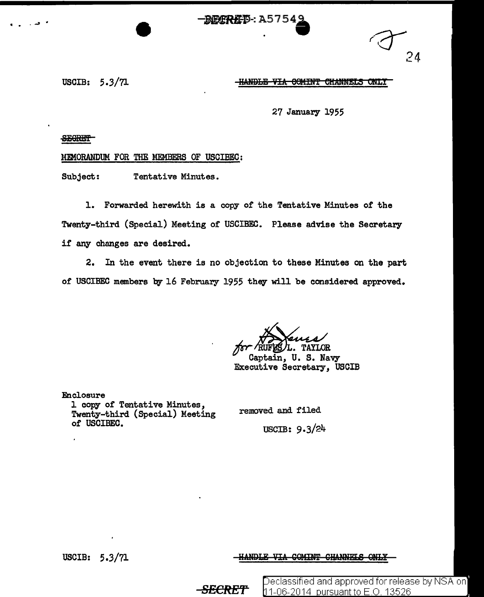RECRIPE: A57549

24

USCIB: 5.3/71

<del>-HANDLE VIA COMINT CHANNELS ONLY</del>

27 January 1955

**SEGRET** 

MEMORANDUM FOR THE MEMBERS OF USCIBEC:

Subject: Tentative Minutes.

1. Forwarded herewith is a copy of the Tentative Minutes of the Twenty-third (Special) Meeting of USCIBEC. Please advise the Secretary if any changes are desired.

2. In the event there is no objection to these Minutes on the part of USCIBEC members by 16 February 1955 they will be considered approved.

L. TAYLOR

Captain, U.S. Navy Executive Secretary, USCIB

Enclosure 1 copy of Tentative Minutes, Twenty-third (Special) Meeting of USCIBEC.

removed and filed USCIB:  $9.3/24$ 

USCIB: 5.3/71

-HANDLE VIA COMINT CHANNELS ONL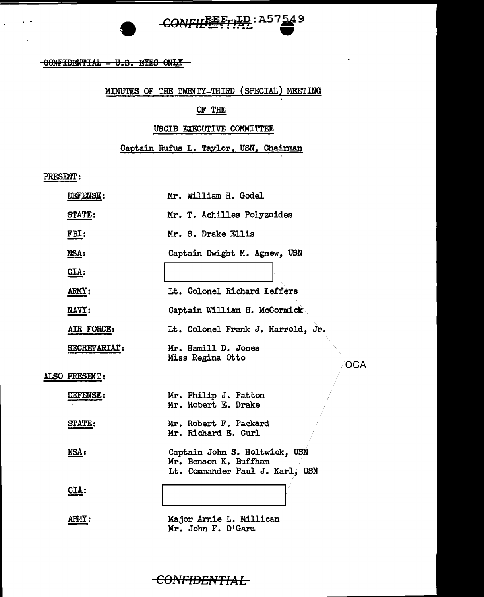# CONFILE FTIAL: A57549

 $-$ CONFIDENTIAL = U.S. EYES ONLY

### MINUTES OF THE TWENTY-THIRD (SPECIAL) MEETING

### OF THE

#### USCIB EXECUTIVE COMMITTEE

Captain Rufus L. Taylor, USN, Chairman

PRESENT:

| DEFENSE:      | Mr. William H. Godel                                                                      |
|---------------|-------------------------------------------------------------------------------------------|
| <b>STATE:</b> | Mr. T. Achilles Polyzoides                                                                |
| FBI:          | Mr. S. Drake Ellis                                                                        |
| MSA:          | Captain Dwight M. Agnew, USN                                                              |
| CIA:          |                                                                                           |
| ARMY:         | Lt. Colonel Richard Leffers                                                               |
| NAVY:         | Captain William H. McCormick                                                              |
| AIR FORCE:    | It. Colonel Frank J. Harrold, Jr.                                                         |
| SECRETARIAT:  | Mr. Hamill D. Jones<br>Miss Regina Otto<br><b>OGA</b>                                     |
| ALSO PRESENT: |                                                                                           |
| DEFENSE:      | Mr. Philip J. Patton<br>Mr. Robert E. Drake                                               |
| <b>STATE:</b> | Mr. Robert F. Packard<br>Mr. Richard E. Curl                                              |
| NSA:          | Captain John S. Holtwick, USN<br>Mr. Benson K. Buffham<br>Lt. Commander Paul J. Karl, USN |
| CIA:          |                                                                                           |
| ARIY:         | Major Arnie L. Millican                                                                   |

Mr. John F. O'Gara

**CONFIDENTIAL**